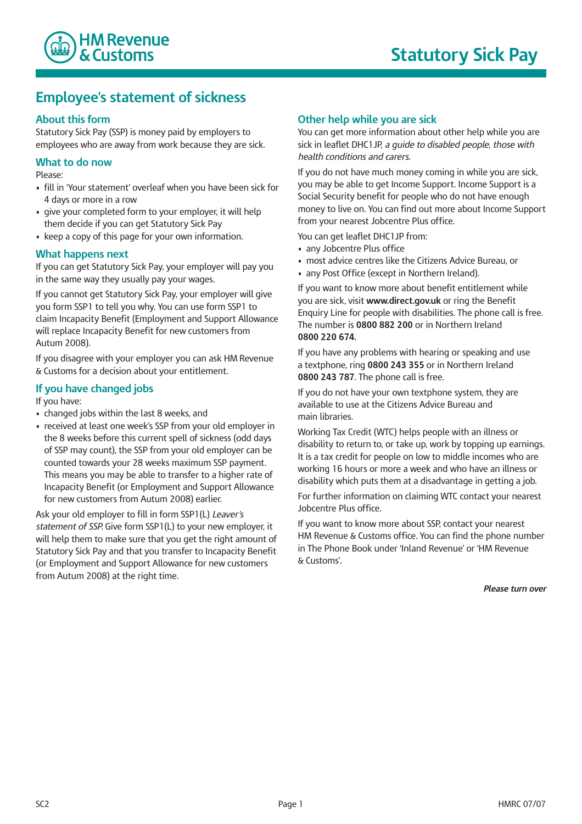

# **Employee's statement of sickness**

## **About this form**

Statutory Sick Pay (SSP) is money paid by employers to employees who are away from work because they are sick.

## **What to do now**

Please:

- fill in 'Your statement' overleaf when you have been sick for 4 days or more in a row
- give your completed form to your employer, it will help them decide if you can get Statutory Sick Pay
- keep a copy of this page for your own information.

#### **What happens next**

If you can get Statutory Sick Pay, your employer will pay you in the same way they usually pay your wages.

If you cannot get Statutory Sick Pay, your employer will give you form SSP1 to tell you why. You can use form SSP1 to claim Incapacity Benefit (Employment and Support Allowance will replace Incapacity Benefit for new customers from Autum 2008).

If you disagree with your employer you can ask HM Revenue & Customs for a decision about your entitlement.

# **If you have changed jobs**

If you have:

- changed jobs within the last 8 weeks, and
- received at least one week's SSP from your old employer in the 8 weeks before this current spell of sickness (odd days of SSP may count), the SSP from your old employer can be counted towards your 28 weeks maximum SSP payment. This means you may be able to transfer to a higher rate of Incapacity Benefit (or Employment and Support Allowance for new customers from Autum 2008) earlier.

Ask your old employer to fill in form SSP1(L) *Leaver's statement of SSP.* Give form SSP1(L) to your new employer, it will help them to make sure that you get the right amount of Statutory Sick Pay and that you transfer to Incapacity Benefit (or Employment and Support Allowance for new customers from Autum 2008) at the right time.

#### **Other help while you are sick**

You can get more information about other help while you are sick in leaflet DHC1JP, *a guide to disabled people, those with health conditions and carers.*

If you do not have much money coming in while you are sick, you may be able to get Income Support. Income Support is a Social Security benefit for people who do not have enough money to live on. You can find out more about Income Support from your nearest Jobcentre Plus office.

You can get leaflet DHC1JP from:

- any Jobcentre Plus office
- most advice centres like the Citizens Advice Bureau, or
- any Post Office (except in Northern Ireland).

If you want to know more about benefit entitlement while you are sick, visit **www.direct.gov.uk** or ring the Benefit Enquiry Line for people with disabilities. The phone call is free. The number is **0800 882 200** or in Northern Ireland **0800 220 674.**

If you have any problems with hearing or speaking and use a textphone, ring **0800 243 355** or in Northern Ireland **0800 243 787**. The phone call is free.

If you do not have your own textphone system, they are available to use at the Citizens Advice Bureau and main libraries.

Working Tax Credit (WTC) helps people with an illness or disability to return to, or take up, work by topping up earnings. It is a tax credit for people on low to middle incomes who are working 16 hours or more a week and who have an illness or disability which puts them at a disadvantage in getting a job.

For further information on claiming WTC contact your nearest Jobcentre Plus office.

If you want to know more about SSP, contact your nearest HM Revenue & Customs office. You can find the phone number in The Phone Book under 'Inland Revenue' or 'HM Revenue & Customs'.

*Please turn over*